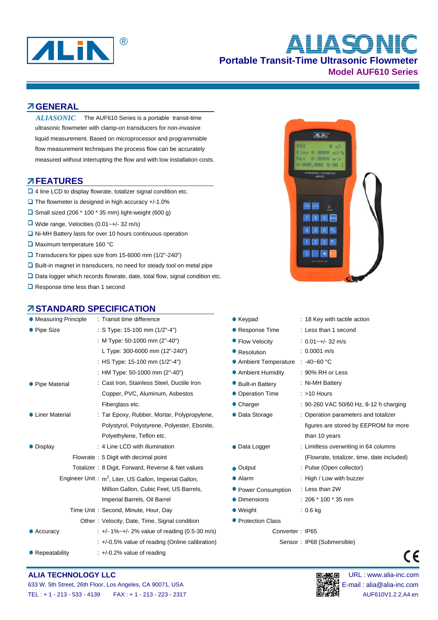

# **Portable Transit-Time Ultrasonic Flowmeter Model AUF610 Series** ® **ALIASONIC**

 $ALIN$ 

 $\mathbf{a}$  $8.8888 m3/1$ 8.8888 **BBB, BBB 0-88** 

# **GENERAL**

The AUF610 Series is a portable transit-time ultrasonic flowmeter with clamp-on transducers for non-invasive liquid measurement. Based on microprocessor and programmable flow measurement techniques the process flow can be accurately measured without interrupting the flow and with low installation costs. *ALIASONIC*

### **FEATURES**

- □ 4 line LCD to display flowrate, totalizer signal condition etc.
- $\Box$  The flowmeter is designed in high accuracy +/-1.0%
- $\square$  Small sized (206  $*$  100  $*$  35 mm) light-weight (600 g)
- Wide range, Velocities (0.01~+/- 32 m/s)
- $\Box$  Ni-MH Battery lasts for over 10 hours continuous operation
- Maximum temperature 160 °C
- Transducers for pipes size from 15-6000 mm (1/2"-240")
- Built-in magnet in transducers, no need for steady tool on metal pipe
- □ Data logger which records flowrate, date, total flow, signal condition etc.
- Response time less than 1 second

# **STANDARD SPECIFICATION**

| • Measuring Principle                                                                                         | : Transit time difference                            | $\bullet$ Keypad        | : 18 Key with tactile action               |
|---------------------------------------------------------------------------------------------------------------|------------------------------------------------------|-------------------------|--------------------------------------------|
| • Pipe Size                                                                                                   | : S Type: 15-100 mm (1/2"-4")                        | ● Response Time         | : Less than 1 second                       |
|                                                                                                               | : M Type: 50-1000 mm (2"-40")                        | • Flow Velocity         | $: 0.01 - +/- 32$ m/s                      |
|                                                                                                               | L Type: 300-6000 mm (12"-240")                       | • Resolution            | $: 0.0001$ m/s                             |
|                                                                                                               | : HS Type: 15-100 mm (1/2"-4")                       | • Ambient Temperature   | $: 40 - 60$ °C                             |
|                                                                                                               | : HM Type: 50-1000 mm (2"-40")                       | • Ambient Humidity      | : 90% RH or Less                           |
| • Pipe Material                                                                                               | : Cast Iron, Stainless Steel, Ductile Iron           | <b>Built-in Battery</b> | : Ni-MH Battery                            |
|                                                                                                               | Copper, PVC, Aluminum, Asbestos                      | • Operation Time        | $:$ >10 Hours                              |
|                                                                                                               | Fiberglass etc.                                      | • Charger               | : 90-260 VAC 50/60 Hz, 8-12 h charging     |
| • Liner Material                                                                                              | : Tar Epoxy, Rubber, Mortar, Polypropylene,          | • Data Storage          | : Operation parameters and totalizer       |
|                                                                                                               | Polystyrol, Polystyrene, Polyester, Ebonite,         |                         | figures are stored by EEPROM for more      |
|                                                                                                               | Polyethylene, Teflon etc.                            |                         | than 10 years                              |
| • Display                                                                                                     | : 4 Line LCD with illumination                       | • Data Logger           | : Limitless overwriting in 64 columns      |
|                                                                                                               | Flowrate: 5 Digit with decimal point                 |                         | (Flowrate, totalizer, time, date included) |
|                                                                                                               | Totalizer: 8 Digit, Forward, Reverse & Net values    | $\bullet$ Output        | : Pulse (Open collector)                   |
| Engineer Unit: m <sup>3</sup> , Liter, US Gallon, Imperial Gallon,<br>Million Gallon, Cubic Feet, US Barrels, |                                                      | $\bullet$ Alarm         | : High / Low with buzzer                   |
|                                                                                                               |                                                      | • Power Consumption     | : Less than 2W                             |
|                                                                                                               | Imperial Barrels, Oil Barrel                         | • Dimensions            | $: 206 * 100 * 35$ mm                      |
|                                                                                                               | Time Unit: Second, Minute, Hour, Day                 | $\bullet$ Weight        | $: 0.6$ kg                                 |
|                                                                                                               | Other: Velocity, Date, Time, Signal condition        | • Protection Class      |                                            |
| • Accuracy                                                                                                    | : +/- 1%~+/- 2% value of reading (0.5-30 m/s)        | Converter: IP65         |                                            |
|                                                                                                               | $\div$ +/-0.5% value of reading (Online calibration) |                         | Sensor: IP68 (Submersible)                 |
| • Repeatability                                                                                               | $\div$ +/-0.2% value of reading                      |                         |                                            |
|                                                                                                               |                                                      |                         |                                            |



**ALIA TECHNOLOGY LLC Development of the community of the community of the community of the community of the community of the community of the community of the community of the community of the community of the community** 



 $\epsilon$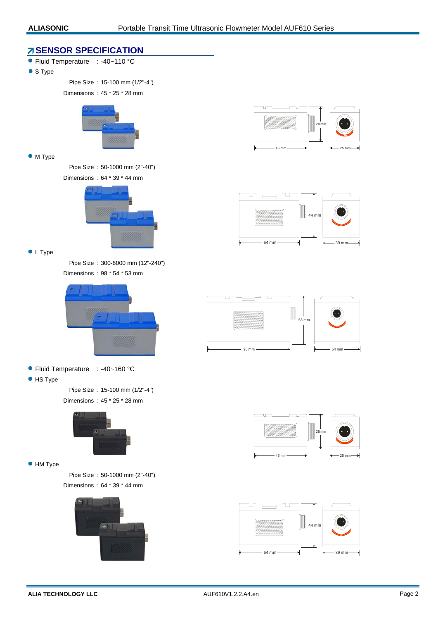### *A* **SENSOR SPECIFICATION**

- Fluid Temperature : -40~110 °C
- S Type

Pipe Size : 15-100 mm (1/2"-4")

Dimensions : 45 \* 25 \* 28 mm



#### • M Type

Pipe Size : 50-1000 mm (2"-40") Dimensions : 64 \* 39 \* 44 mm



• L Type

Pipe Size : 300-6000 mm (12"-240") Dimensions : 98 \* 54 \* 53 mm



- Fluid Temperature : -40~160 °C
- **•** HS Type

Pipe Size : 15-100 mm (1/2"-4") Dimensions : 45 \* 25 \* 28 mm



#### $\bullet$  HM Type

Pipe Size : 50-1000 mm (2"-40") Dimensions : 64 \* 39 \* 44 mm











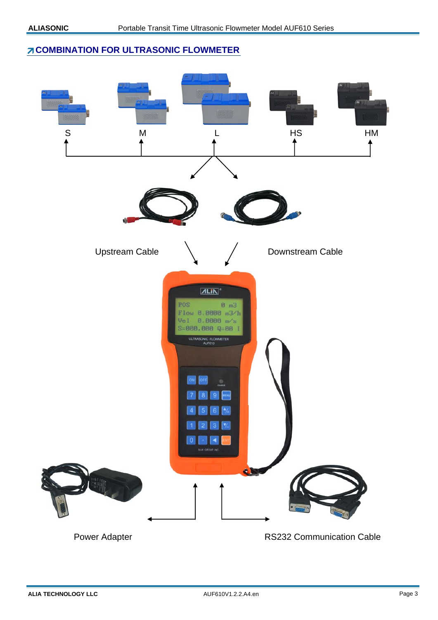# **Z COMBINATION FOR ULTRASONIC FLOWMETER**